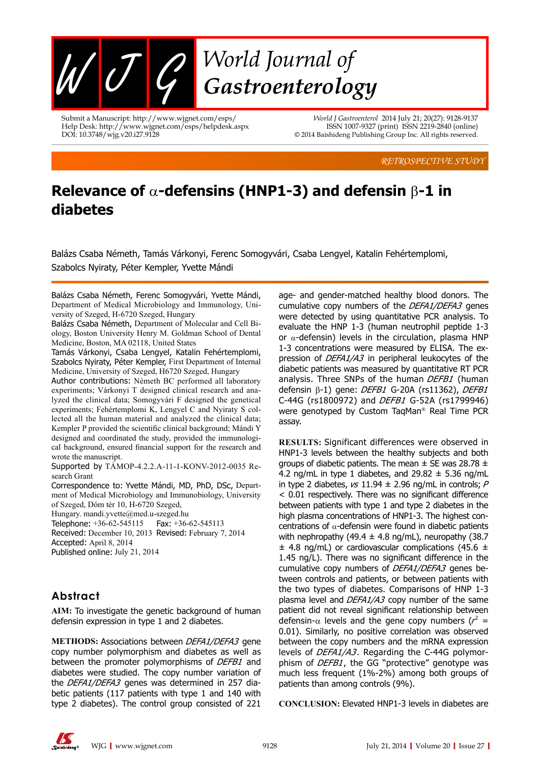

Submit a Manuscript: http://www.wjgnet.com/esps/ Help Desk: http://www.wjgnet.com/esps/helpdesk.aspx DOI: 10.3748/wjg.v20.i27.9128

*World J Gastroenterol* 2014 July 21; 20(27): 9128-9137 ISSN 1007-9327 (print) ISSN 2219-2840 (online) © 2014 Baishideng Publishing Group Inc. All rights reserved.

*RETROSPECTIVE STUDY*

# **Relevance of** α**-defensins (HNP1-3) and defensin** β**-1 in diabetes**

Balázs Csaba Németh, Tamás Várkonyi, Ferenc Somogyvári, Csaba Lengyel, Katalin Fehértemplomi, Szabolcs Nyiraty, Péter Kempler, Yvette Mándi

Balázs Csaba Németh, Ferenc Somogyvári, Yvette Mándi, Department of Medical Microbiology and Immunology, University of Szeged, H-6720 Szeged, Hungary

Balázs Csaba Németh, Department of Molecular and Cell Biology, Boston University Henry M. Goldman School of Dental Medicine, Boston, MA 02118, United States

Tamás Várkonyi, Csaba Lengyel, Katalin Fehértemplomi, Szabolcs Nyiraty, Péter Kempler, First Department of Internal Medicine, University of Szeged, H6720 Szeged, Hungary

Author contributions: Németh BC performed all laboratory experiments; Várkonyi T designed clinical research and analyzed the clinical data; Somogyvári F designed the genetical experiments; Fehértemplomi K, Lengyel C and Nyiraty S collected all the human material and analyzed the clinical data; Kempler P provided the scientific clinical background; Mándi Y designed and coordinated the study, provided the immunological background, ensured financial support for the research and wrote the manuscript.

Supported by TÁMOP-4.2.2.A-11-1-KONV-2012-0035 Research Grant

Correspondence to: Yvette Mándi, MD, PhD, DSc, Department of Medical Microbiology and Immunobiology, University of Szeged, Dóm tér 10, H-6720 Szeged,

Hungary. mandi.yvette@med.u-szeged.hu

Telephone: +36-62-545115Fax: +36-62-545113

Received: December 10, 2013Revised: February 7, 2014 Accepted: April 8, 2014

Published online: July 21, 2014

# **Abstract**

**AIM:** To investigate the genetic background of human defensin expression in type 1 and 2 diabetes.

**METHODS:** Associations between DEFA1/DEFA3 gene copy number polymorphism and diabetes as well as between the promoter polymorphisms of DEFB1 and diabetes were studied. The copy number variation of the *DEFA1/DEFA3* genes was determined in 257 diabetic patients (117 patients with type 1 and 140 with type 2 diabetes). The control group consisted of 221

age- and gender-matched healthy blood donors. The cumulative copy numbers of the DEFA1/DEFA3 genes were detected by using quantitative PCR analysis. To evaluate the HNP 1-3 (human neutrophil peptide 1-3 or  $\alpha$ -defensin) levels in the circulation, plasma HNP 1-3 concentrations were measured by ELISA. The expression of DEFA1/A3 in peripheral leukocytes of the diabetic patients was measured by quantitative RT PCR analysis. Three SNPs of the human DEFB1 (human defensin β-1) gene: DEFB1 G-20A (rs11362), DEFB1 C-44G (rs1800972) and DEFB1 G-52A (rs1799946) were genotyped by Custom TaqMan® Real Time PCR assay.

**RESULTS:** Significant differences were observed in HNP1-3 levels between the healthy subjects and both groups of diabetic patients. The mean  $\pm$  SE was 28.78  $\pm$ 4.2 ng/mL in type 1 diabetes, and  $29.82 \pm 5.36$  ng/mL in type 2 diabetes,  $vs$  11.94  $\pm$  2.96 ng/mL in controls; P < 0.01 respectively. There was no significant difference between patients with type 1 and type 2 diabetes in the high plasma concentrations of HNP1-3. The highest concentrations of  $\alpha$ -defensin were found in diabetic patients with nephropathy (49.4  $\pm$  4.8 ng/mL), neuropathy (38.7  $\pm$  4.8 ng/mL) or cardiovascular complications (45.6  $\pm$ 1.45 ng/L). There was no significant difference in the cumulative copy numbers of DEFA1/DEFA3 genes between controls and patients, or between patients with the two types of diabetes. Comparisons of HNP 1-3 plasma level and DEFA1/A3 copy number of the same patient did not reveal significant relationship between defensin- $\alpha$  levels and the gene copy numbers ( $r^2 =$ 0.01). Similarly, no positive correlation was observed between the copy numbers and the mRNA expression levels of *DEFA1/A3*. Regarding the C-44G polymorphism of *DEFB1*, the GG "protective" genotype was much less frequent (1%-2%) among both groups of patients than among controls (9%).

**CONCLUSION:** Elevated HNP1-3 levels in diabetes are

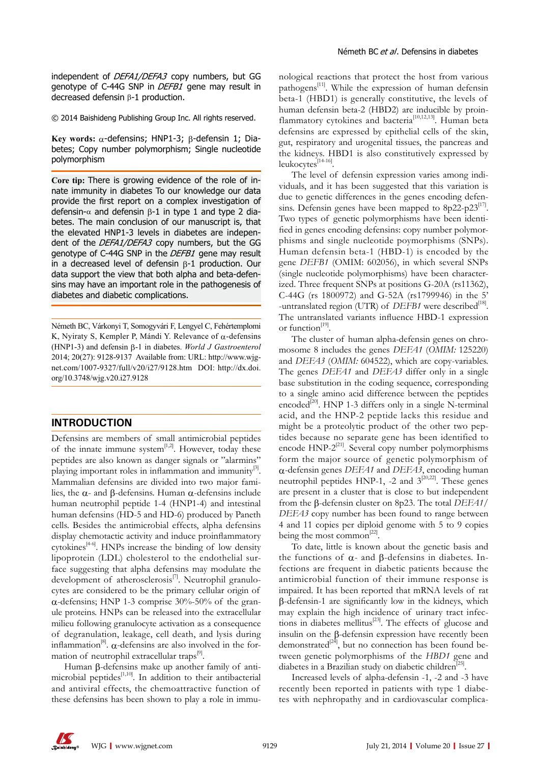independent of *DEFA1/DEFA3* copy numbers, but GG genotype of C-44G SNP in *DEFB1* gene may result in decreased defensin β-1 production.

© 2014 Baishideng Publishing Group Inc. All rights reserved.

**Key words:** α-defensins; HNP1-3; β-defensin 1; Diabetes; Copy number polymorphism; Single nucleotide polymorphism

**Core tip:** There is growing evidence of the role of innate immunity in diabetes To our knowledge our data provide the first report on a complex investigation of defensin-α and defensin  $β-1$  in type 1 and type 2 diabetes. The main conclusion of our manuscript is, that the elevated HNP1-3 levels in diabetes are independent of the *DEFA1/DEFA3* copy numbers, but the GG genotype of C-44G SNP in the *DEFB1* gene may result in a decreased level of defensin β-1 production. Our data support the view that both alpha and beta-defensins may have an important role in the pathogenesis of diabetes and diabetic complications.

Németh BC, Várkonyi T, Somogyvári F, Lengyel C, Fehértemplomi K, Nyiraty S, Kempler P, Mándi Y. Relevance of  $\alpha$ -defensins (HNP1-3) and defensin b-1 in diabetes. *World J Gastroenterol* 2014; 20(27): 9128-9137 Available from: URL: http://www.wjgnet.com/1007-9327/full/v20/i27/9128.htm DOI: http://dx.doi. org/10.3748/wjg.v20.i27.9128

### **INTRODUCTION**

Defensins are members of small antimicrobial peptides of the innate immune system $[1,2]$ . However, today these peptides are also known as danger signals or "alarmins" playing important roles in inflammation and immunity<sup>[3]</sup>. Mammalian defensins are divided into two major families, the α- and β-defensins. Human α-defensins include human neutrophil peptide 1-4 (HNP1-4) and intestinal human defensins (HD-5 and HD-6) produced by Paneth cells. Besides the antimicrobial effects, alpha defensins display chemotactic activity and induce proinflammatory cytokines<sup>[4-6]</sup>. HNPs increase the binding of low density lipoprotein (LDL) cholesterol to the endothelial surface suggesting that alpha defensins may modulate the development of atherosclerosis<sup>[7]</sup>. Neutrophil granulocytes are considered to be the primary cellular origin of  $\alpha$ -defensins; HNP 1-3 comprise 30%-50% of the granule proteins. HNPs can be released into the extracellular milieu following granulocyte activation as a consequence of degranulation, leakage, cell death, and lysis during inflammation<sup>[8]</sup>.  $\alpha$ -defensins are also involved in the formation of neutrophil extracellular traps<sup>[9]</sup>.

Human β-defensins make up another family of antimicrobial peptides $[1,10]$ . In addition to their antibacterial and antiviral effects, the chemoattractive function of these defensins has been shown to play a role in immunological reactions that protect the host from various pathogens $^{[11]}$ . While the expression of human defensin beta-1 (HBD1) is generally constitutive, the levels of human defensin beta-2 (HBD2) are inducible by proinflammatory cytokines and bacteria<sup>[10,12,13]</sup>. Human beta defensins are expressed by epithelial cells of the skin, gut, respiratory and urogenital tissues, the pancreas and the kidneys. HBD1 is also constitutively expressed by leukocytes<sup>[14-16]</sup>.

The level of defensin expression varies among individuals, and it has been suggested that this variation is due to genetic differences in the genes encoding defensins. Defensin genes have been mapped to  $8p22-p23^{17}$ . Two types of genetic polymorphisms have been identified in genes encoding defensins: copy number polymorphisms and single nucleotide poymorphisms (SNPs). Human defensin beta-1 (HBD-1) is encoded by the gene *DEFB1* (OMIM: 602056), in which several SNPs (single nucleotide polymorphisms) have been characterized. Three frequent SNPs at positions G-20A (rs11362), C-44G (rs 1800972) and G-52A (rs1799946) in the 5' -untranslated region (UTR) of *DEFB1* were described<sup>[18]</sup>. The untranslated variants influence HBD-1 expression or function<sup>[19]</sup>.

The cluster of human alpha-defensin genes on chromosome 8 includes the genes *DEFA1* (*OMIM:* 125220) and *DEFA3* (*OMIM:* 604522), which are copy-variables. The genes *DEFA1* and *DEFA3* differ only in a single base substitution in the coding sequence, corresponding to a single amino acid difference between the peptides encoded<sup>[20]</sup>. HNP 1-3 differs only in a single N-terminal acid, and the HNP-2 peptide lacks this residue and might be a proteolytic product of the other two peptides because no separate gene has been identified to encode  $HNP-2^{[21]}$ . Several copy number polymorphisms form the major source of genetic polymorphism of α-defensin genes *DEFA1* and *DEFA3*, encoding human neutrophil peptides HNP-1, -2 and  $3^{[20,22]}$ . These genes are present in a cluster that is close to but independent from the β-defensin cluster on 8p23. The total *DEFA1/ DEFA3* copy number has been found to range between 4 and 11 copies per diploid genome with 5 to 9 copies being the most common<sup>[22]</sup>.

To date, little is known about the genetic basis and the functions of  $\alpha$ - and β-defensins in diabetes. Infections are frequent in diabetic patients because the antimicrobial function of their immune response is impaired. It has been reported that mRNA levels of rat β-defensin-1 are significantly low in the kidneys, which may explain the high incidence of urinary tract infections in diabetes mellitus<sup>[23]</sup>. The effects of glucose and insulin on the β-defensin expression have recently been demonstrated $[24]$ , but no connection has been found between genetic polymorphisms of the *HBD1* gene and diabetes in a Brazilian study on diabetic children<sup>[25]</sup>.

Increased levels of alpha-defensin -1, -2 and -3 have recently been reported in patients with type 1 diabetes with nephropathy and in cardiovascular complica-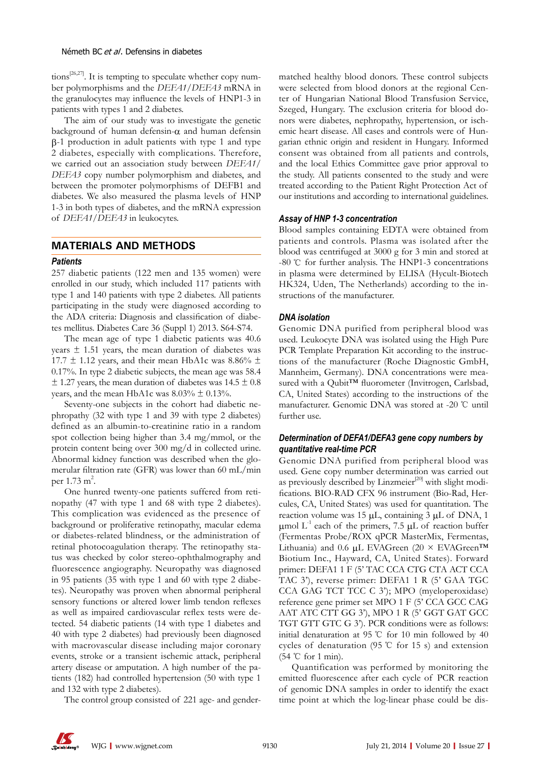tions<sup>[26,27]</sup>. It is tempting to speculate whether copy number polymorphisms and the *DEFA1/DEFA3* mRNA in the granulocytes may influence the levels of HNP1-3 in patients with types 1 and 2 diabetes.

The aim of our study was to investigate the genetic background of human defensin- $\alpha$  and human defensin β-1 production in adult patients with type 1 and type 2 diabetes, especially with complications. Therefore, we carried out an association study between *DEFA1/ DEFA3* copy number polymorphism and diabetes, and between the promoter polymorphisms of DEFB1 and diabetes. We also measured the plasma levels of HNP 1-3 in both types of diabetes, and the mRNA expression of *DEFA1/DEFA3* in leukocytes.

# **MATERIALS AND METHODS**

#### *Patients*

257 diabetic patients (122 men and 135 women) were enrolled in our study, which included 117 patients with type 1 and 140 patients with type 2 diabetes. All patients participating in the study were diagnosed according to the ADA criteria: Diagnosis and classification of diabetes mellitus. Diabetes Care 36 (Suppl 1) 2013. S64-S74.

The mean age of type 1 diabetic patients was 40.6 years  $\pm$  1.51 years, the mean duration of diabetes was 17.7  $\pm$  1.12 years, and their mean HbA1c was 8.86%  $\pm$ 0.17%. In type 2 diabetic subjects, the mean age was 58.4  $\pm$  1.27 years, the mean duration of diabetes was 14.5  $\pm$  0.8 years, and the mean HbA1c was  $8.03\% \pm 0.13\%$ .

Seventy-one subjects in the cohort had diabetic nephropathy (32 with type 1 and 39 with type 2 diabetes) defined as an albumin-to-creatinine ratio in a random spot collection being higher than 3.4 mg/mmol, or the protein content being over 300 mg/d in collected urine. Abnormal kidney function was described when the glomerular filtration rate (GFR) was lower than 60 mL/min per 1.73 m<sup>2</sup>.

One hunred twenty-one patients suffered from retinopathy (47 with type 1 and 68 with type 2 diabetes). This complication was evidenced as the presence of background or proliferative retinopathy, macular edema or diabetes-related blindness, or the administration of retinal photocoagulation therapy. The retinopathy status was checked by color stereo-ophthalmography and fluorescence angiography. Neuropathy was diagnosed in 95 patients (35 with type 1 and 60 with type 2 diabetes). Neuropathy was proven when abnormal peripheral sensory functions or altered lower limb tendon reflexes as well as impaired cardiovascular reflex tests were detected. 54 diabetic patients (14 with type 1 diabetes and 40 with type 2 diabetes) had previously been diagnosed with macrovascular disease including major coronary events, stroke or a transient ischemic attack, peripheral artery disease or amputation. A high number of the patients (182) had controlled hypertension (50 with type 1 and 132 with type 2 diabetes).

The control group consisted of 221 age- and gender-

matched healthy blood donors. These control subjects were selected from blood donors at the regional Center of Hungarian National Blood Transfusion Service, Szeged, Hungary. The exclusion criteria for blood donors were diabetes, nephropathy, hypertension, or ischemic heart disease. All cases and controls were of Hungarian ethnic origin and resident in Hungary. Informed consent was obtained from all patients and controls, and the local Ethics Committee gave prior approval to the study. All patients consented to the study and were treated according to the Patient Right Protection Act of our institutions and according to international guidelines.

# *Assay of HNP 1-3 concentration*

Blood samples containing EDTA were obtained from patients and controls. Plasma was isolated after the blood was centrifuged at 3000 g for 3 min and stored at -80 ℃ for further analysis. The HNP1-3 concentrations in plasma were determined by ELISA (Hycult-Biotech HK324, Uden, The Netherlands) according to the instructions of the manufacturer.

# *DNA isolation*

Genomic DNA purified from peripheral blood was used. Leukocyte DNA was isolated using the High Pure PCR Template Preparation Kit according to the instructions of the manufacturer (Roche Diagnostic GmbH, Mannheim, Germany). DNA concentrations were measured with a Qubit™ fluorometer (Invitrogen, Carlsbad, CA, United States) according to the instructions of the manufacturer. Genomic DNA was stored at -20 ℃ until further use.

# *Determination of DEFA1/DEFA3 gene copy numbers by quantitative real-time PCR*

Genomic DNA purified from peripheral blood was used. Gene copy number determination was carried out as previously described by Linzmeier $[20]$  with slight modifications. BIO-RAD CFX 96 instrument (Bio-Rad, Hercules, CA, United States) was used for quantitation. The reaction volume was 15 μL, containing 3 μL of DNA, 1 μmol  $L<sup>-1</sup>$  each of the primers, 7.5 μL of reaction buffer (Fermentas Probe/ROX qPCR MasterMix, Fermentas, Lithuania) and 0.6 μL EVAGreen (20 × EVAGreen™ Biotium Inc., Hayward, CA, United States). Forward primer: DEFA1 1 F (5' TAC CCA CTG CTA ACT CCA TAC 3'), reverse primer: DEFA1 1 R (5' GAA TGC CCA GAG TCT TCC C 3'); MPO (myeloperoxidase) reference gene primer set MPO 1 F (5' CCA GCC CAG AAT ATC CTT GG 3'), MPO 1 R (5' GGT GAT GCC TGT GTT GTC G 3'). PCR conditions were as follows: initial denaturation at 95 ℃ for 10 min followed by 40 cycles of denaturation (95 ℃ for 15 s) and extension (54 ℃ for 1 min).

Quantification was performed by monitoring the emitted fluorescence after each cycle of PCR reaction of genomic DNA samples in order to identify the exact time point at which the log-linear phase could be dis-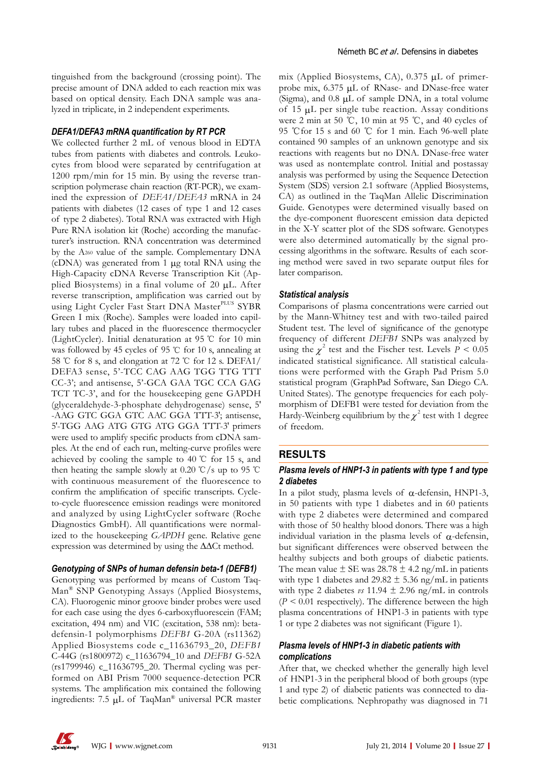tinguished from the background (crossing point). The precise amount of DNA added to each reaction mix was based on optical density. Each DNA sample was analyzed in triplicate, in 2 independent experiments.

#### *DEFA1/DEFA3 mRNA quantification by RT PCR*

We collected further 2 mL of venous blood in EDTA tubes from patients with diabetes and controls. Leukocytes from blood were separated by centrifugation at 1200 rpm/min for 15 min. By using the reverse transcription polymerase chain reaction (RT-PCR), we examined the expression of *DEFA1/DEFA3* mRNA in 24 patients with diabetes (12 cases of type 1 and 12 cases of type 2 diabetes). Total RNA was extracted with High Pure RNA isolation kit (Roche) according the manufacturer's instruction. RNA concentration was determined by the A260 value of the sample. Complementary DNA (cDNA) was generated from 1 μg total RNA using the High-Capacity cDNA Reverse Transcription Kit (Applied Biosystems) in a final volume of 20 μL. After reverse transcription, amplification was carried out by using Light Cycler Fast Start DNA Master<sup>PLUS</sup> SYBR Green I mix (Roche). Samples were loaded into capillary tubes and placed in the fluorescence thermocycler (LightCycler). Initial denaturation at 95 ℃ for 10 min was followed by 45 cycles of 95 ℃ for 10 s, annealing at 58 ℃ for 8 s, and elongation at 72 ℃ for 12 s. DEFA1/ DEFA3 sense, 5'-TCC CAG AAG TGG TTG TTT CC-3'; and antisense, 5'-GCA GAA TGC CCA GAG TCT TC-3', and for the housekeeping gene GAPDH (glyceraldehyde-3-phosphate dehydrogenase) sense, 5′ -AAG GTC GGA GTC AAC GGA TTT-3′; antisense, 5′-TGG AAG ATG GTG ATG GGA TTT-3′ primers were used to amplify specific products from cDNA samples. At the end of each run, melting-curve profiles were achieved by cooling the sample to 40 ℃ for 15 s, and then heating the sample slowly at 0.20 °C/s up to 95 °C with continuous measurement of the fluorescence to confirm the amplification of specific transcripts. Cycleto-cycle fluorescence emission readings were monitored and analyzed by using LightCycler software (Roche Diagnostics GmbH). All quantifications were normalized to the housekeeping *GAPDH* gene. Relative gene expression was determined by using the ∆∆Ct method.

#### *Genotyping of SNPs of human defensin beta-1 (DEFB1)*

Genotyping was performed by means of Custom Taq-Man® SNP Genotyping Assays (Applied Biosystems, CA). Fluorogenic minor groove binder probes were used for each case using the dyes 6-carboxyfluorescein (FAM; excitation, 494 nm) and VIC (excitation, 538 nm): betadefensin-1 polymorphisms *DEFB1* G-20A (rs11362) Applied Biosystems code c\_11636793\_20, *DEFB1* C-44G (rs1800972) c\_11636794\_10 and *DEFB1* G-52A (rs1799946) c\_11636795\_20. Thermal cycling was performed on ABI Prism 7000 sequence-detection PCR systems. The amplification mix contained the following ingredients: 7.5 μL of TaqMan® universal PCR master mix (Applied Biosystems, CA), 0.375 μL of primerprobe mix, 6.375 μL of RNase- and DNase-free water (Sigma), and 0.8 μL of sample DNA, in a total volume of 15 μL per single tube reaction. Assay conditions were 2 min at 50 ℃, 10 min at 95 ℃, and 40 cycles of 95 ℃for 15 s and 60 ℃ for 1 min. Each 96-well plate contained 90 samples of an unknown genotype and six reactions with reagents but no DNA. DNase-free water was used as nontemplate control. Initial and postassay analysis was performed by using the Sequence Detection System (SDS) version 2.1 software (Applied Biosystems, CA) as outlined in the TaqMan Allelic Discrimination Guide. Genotypes were determined visually based on the dye-component fluorescent emission data depicted in the X-Y scatter plot of the SDS software. Genotypes were also determined automatically by the signal processing algorithms in the software. Results of each scoring method were saved in two separate output files for later comparison.

#### *Statistical analysis*

Comparisons of plasma concentrations were carried out by the Mann-Whitney test and with two-tailed paired Student test. The level of significance of the genotype frequency of different *DEFB1* SNPs was analyzed by using the  $\chi^2$  test and the Fischer test. Levels  $P < 0.05$ indicated statistical significance. All statistical calculations were performed with the Graph Pad Prism 5.0 statistical program (GraphPad Software, San Diego CA. United States). The genotype frequencies for each polymorphism of DEFB1 were tested for deviation from the Hardy-Weinberg equilibrium by the  $\chi^2$  test with 1 degree of freedom.

#### **RESULTS**

## *Plasma levels of HNP1-3 in patients with type 1 and type 2 diabetes*

In a pilot study, plasma levels of α-defensin, HNP1-3, in 50 patients with type 1 diabetes and in 60 patients with type 2 diabetes were determined and compared with those of 50 healthy blood donors. There was a high individual variation in the plasma levels of  $\alpha$ -defensin, but significant differences were observed between the healthy subjects and both groups of diabetic patients. The mean value  $\pm$  SE was 28.78  $\pm$  4.2 ng/mL in patients with type 1 diabetes and 29.82  $\pm$  5.36 ng/mL in patients with type 2 diabetes  $\nu s$  11.94  $\pm$  2.96 ng/mL in controls  $(P < 0.01$  respectively). The difference between the high plasma concentrations of HNP1-3 in patients with type 1 or type 2 diabetes was not significant (Figure 1).

# *Plasma levels of HNP1-3 in diabetic patients with complications*

After that, we checked whether the generally high level of HNP1-3 in the peripheral blood of both groups (type 1 and type 2) of diabetic patients was connected to diabetic complications. Nephropathy was diagnosed in 71

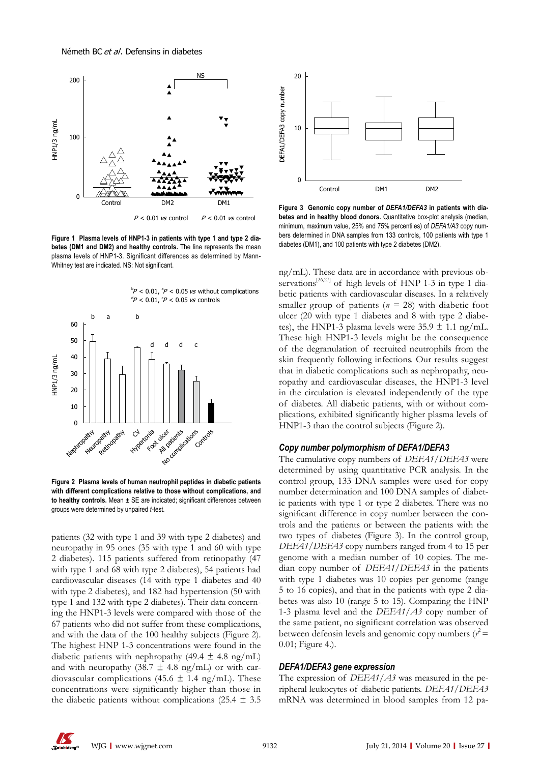

**Figure 1 Plasma levels of HNP1-3 in patients with type 1 and type 2 diabetes (DM1 and DM2) and healthy controls.** The line represents the mean plasma levels of HNP1-3. Significant differences as determined by Mann-Whitney test are indicated. NS: Not significant.



**Figure 2 Plasma levels of human neutrophil peptides in diabetic patients with different complications relative to those without complications, and to healthy controls.** Mean ± SE are indicated; significant differences between groups were determined by unpaired *t-*test*.*

patients (32 with type 1 and 39 with type 2 diabetes) and neuropathy in 95 ones (35 with type 1 and 60 with type 2 diabetes). 115 patients suffered from retinopathy (47 with type 1 and 68 with type 2 diabetes), 54 patients had cardiovascular diseases (14 with type 1 diabetes and 40 with type 2 diabetes), and 182 had hypertension (50 with type 1 and 132 with type 2 diabetes). Their data concerning the HNP1-3 levels were compared with those of the 67 patients who did not suffer from these complications, and with the data of the 100 healthy subjects (Figure 2). The highest HNP 1-3 concentrations were found in the diabetic patients with nephropathy (49.4  $\pm$  4.8 ng/mL) and with neuropathy (38.7  $\pm$  4.8 ng/mL) or with cardiovascular complications (45.6  $\pm$  1.4 ng/mL). These concentrations were significantly higher than those in the diabetic patients without complications (25.4  $\pm$  3.5



**Figure 3 Genomic copy number of** *DEFA1/DEFA3* **in patients with diabetes and in healthy blood donors.** Quantitative box-plot analysis (median, minimum, maximum value, 25% and 75% percentiles) of *DEFA1/A3* copy numbers determined in DNA samples from 133 controls, 100 patients with type 1 diabetes (DM1), and 100 patients with type 2 diabetes (DM2).

ng/mL). These data are in accordance with previous observations<sup>[26,27]</sup> of high levels of HNP 1-3 in type 1 diabetic patients with cardiovascular diseases. In a relatively smaller group of patients ( $n = 28$ ) with diabetic foot ulcer (20 with type 1 diabetes and 8 with type 2 diabetes), the HNP1-3 plasma levels were  $35.9 \pm 1.1$  ng/mL. These high HNP1-3 levels might be the consequence of the degranulation of recruited neutrophils from the skin frequently following infections. Our results suggest that in diabetic complications such as nephropathy, neuropathy and cardiovascular diseases, the HNP1-3 level in the circulation is elevated independently of the type of diabetes. All diabetic patients, with or without complications, exhibited significantly higher plasma levels of HNP1-3 than the control subjects (Figure 2).

#### *Copy number polymorphism of DEFA1/DEFA3*

The cumulative copy numbers of *DEFA1/DEFA3* were determined by using quantitative PCR analysis. In the control group, 133 DNA samples were used for copy number determination and 100 DNA samples of diabetic patients with type 1 or type 2 diabetes. There was no significant difference in copy number between the controls and the patients or between the patients with the two types of diabetes (Figure 3). In the control group, *DEFA1/DEFA3* copy numbers ranged from 4 to 15 per genome with a median number of 10 copies. The median copy number of *DEFA1/DEFA3* in the patients with type 1 diabetes was 10 copies per genome (range 5 to 16 copies), and that in the patients with type 2 diabetes was also 10 (range 5 to 15). Comparing the HNP 1-3 plasma level and the *DEFA1/A3* copy number of the same patient, no significant correlation was observed between defensin levels and genomic copy numbers  $(r^2 =$ 0.01; Figure 4.).

#### *DEFA1/DEFA3 gene expression*

The expression of *DEFA1/A3* was measured in the peripheral leukocytes of diabetic patients. *DEFA1/DEFA3* mRNA was determined in blood samples from 12 pa-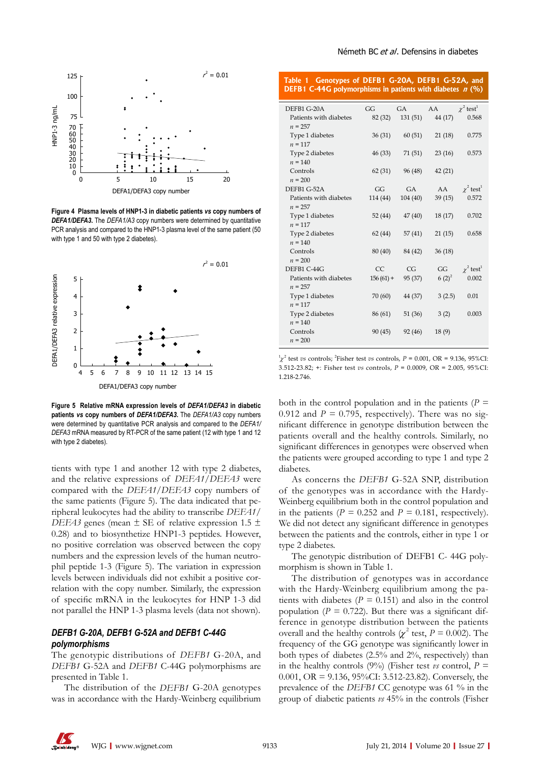

**Figure 4 Plasma levels of HNP1-3 in diabetic patients** *vs* **copy numbers of**  *DEFA1/DEFA3***.** The *DEFA1/A3* copy numbers were determined by quantitative PCR analysis and compared to the HNP1-3 plasma level of the same patient (50 with type 1 and 50 with type 2 diabetes).



**Figure 5 Relative mRNA expression levels of** *DEFA1/DEFA3* **in diabetic patients** *vs* **copy numbers of** *DEFA1/DEFA3***.** The *DEFA1/A3* copy numbers were determined by quantitative PCR analysis and compared to the *DEFA1/ DEFA3* mRNA measured by RT-PCR of the same patient (12 with type 1 and 12 with type 2 diabetes).

tients with type 1 and another 12 with type 2 diabetes, and the relative expressions of *DEFA1/DEFA3* were compared with the *DEFA1/DEFA3* copy numbers of the same patients (Figure 5). The data indicated that peripheral leukocytes had the ability to transcribe *DEFA1/ DEFA3* genes (mean  $\pm$  SE of relative expression 1.5  $\pm$ 0.28) and to biosynthetize HNP1-3 peptides. However, no positive correlation was observed between the copy numbers and the expression levels of the human neutrophil peptide 1-3 (Figure 5). The variation in expression levels between individuals did not exhibit a positive correlation with the copy number. Similarly, the expression of specific mRNA in the leukocytes for HNP 1-3 did not parallel the HNP 1-3 plasma levels (data not shown).

# *DEFB1 G-20A, DEFB1 G-52A and DEFB1 C-44G polymorphisms*

The genotypic distributions of *DEFB1* G-20A, and *DEFB1* G-52A and *DEFB1* C-44G polymorphisms are presented in Table 1.

The distribution of the *DEFB1* G-20A genotypes was in accordance with the Hardy-Weinberg equilibrium

#### Németh BC et al. Defensins in diabetes

| Table 1 Genotypes of DEFB1 G-20A, DEFB1 G-52A, and<br><b>DEFB1 C-44G</b> polymorphisms in patients with diabetes $n$ (%) |             |           |          |                            |
|--------------------------------------------------------------------------------------------------------------------------|-------------|-----------|----------|----------------------------|
| DEFB1 G-20A                                                                                                              | GG          | <b>GA</b> | AA       | $\chi^2$ test <sup>1</sup> |
| Patients with diabetes<br>$n = 257$                                                                                      | 82 (32)     | 131(51)   | 44 (17)  | 0.568                      |
| Type 1 diabetes<br>$n = 117$                                                                                             | 36(31)      | 60(51)    | 21(18)   | 0.775                      |
| Type 2 diabetes<br>$n = 140$                                                                                             | 46(33)      | 71 (51)   | 23(16)   | 0.573                      |
| Controls<br>$n = 200$                                                                                                    | 62(31)      | 96 (48)   | 42(21)   |                            |
| DEFB1 G-52A                                                                                                              | GG          | <b>GA</b> | AA -     | $\chi^2$ test <sup>1</sup> |
| Patients with diabetes<br>$n = 257$                                                                                      | 114 (44)    | 104(40)   | 39(15)   | 0.572                      |
| Type 1 diabetes<br>$n = 117$                                                                                             | 52 (44)     | 47(40)    | 18(17)   | 0.702                      |
| Type 2 diabetes<br>$n = 140$                                                                                             | 62(44)      | 57(41)    | 21(15)   | 0.658                      |
| Controls<br>$n = 200$                                                                                                    | 80 (40)     | 84 (42)   | 36(18)   |                            |
| DEFB1 C-44G                                                                                                              | <b>CC</b>   | CG        | GG       | $\chi^2$ test <sup>1</sup> |
| Patients with diabetes<br>$n = 257$                                                                                      | $156(61) +$ | 95 (37)   | $6(2)^2$ | 0.002                      |
| Type 1 diabetes<br>$n = 117$                                                                                             | 70 (60)     | 44 (37)   | 3(2.5)   | 0.01                       |
| Type 2 diabetes<br>$n = 140$                                                                                             | 86 (61)     | 51(36)    | 3(2)     | 0.003                      |
| Controls<br>$n = 200$                                                                                                    | 90(45)      | 92(46)    | 18(9)    |                            |
|                                                                                                                          |             |           |          |                            |

 $\chi^2$  test *vs* controls; <sup>2</sup> Fisher test *vs* controls, *P* = 0.001, OR = 9.136, 95%CI: 3.512-23.82; +: Fisher test *vs* controls, *P* = 0.0009, OR = 2.005, 95%CI: 1.218-2.746.

both in the control population and in the patients (*p =* 0.912 and  $P = 0.795$ , respectively). There was no significant difference in genotype distribution between the patients overall and the healthy controls. Similarly, no significant differences in genotypes were observed when the patients were grouped according to type 1 and type 2 diabetes.

As concerns the *DEFB1* G-52A SNP, distribution of the genotypes was in accordance with the Hardy-Weinberg equilibrium both in the control population and in the patients  $(P = 0.252$  and  $P = 0.181$ , respectively). We did not detect any significant difference in genotypes between the patients and the controls, either in type 1 or type 2 diabetes.

The genotypic distribution of DEFB1 C- 44G polymorphism is shown in Table 1.

The distribution of genotypes was in accordance with the Hardy-Weinberg equilibrium among the patients with diabetes (*p =* 0.151) and also in the control population ( $P = 0.722$ ). But there was a significant difference in genotype distribution between the patients overall and the healthy controls  $\chi^2$  test,  $P = 0.002$ ). The frequency of the GG genotype was significantly lower in both types of diabetes (2.5% and 2%, respectively) than in the healthy controls (9%) (Fisher test *vs* control,  $P =$ 0.001, OR = 9.136, 95%CI: 3.512-23.82). Conversely, the prevalence of the *DEFB1* CC genotype was 61 % in the group of diabetic patients *vs* 45% in the controls (Fisher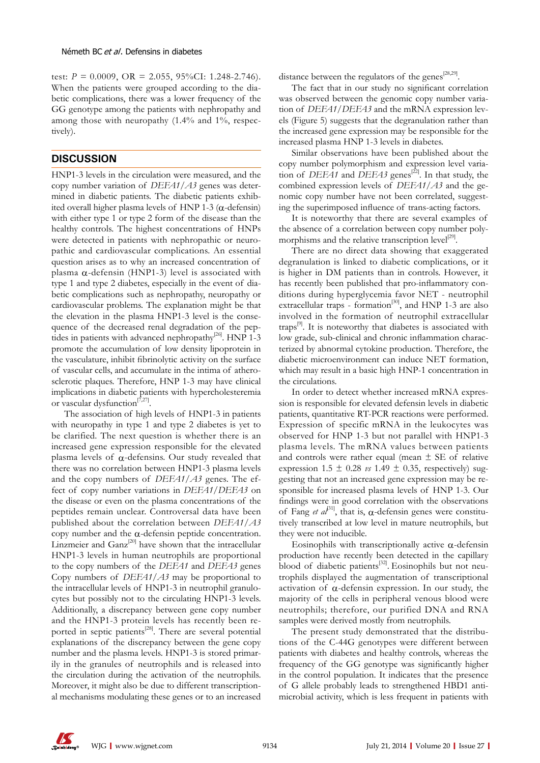test:  $P = 0.0009$ , OR = 2.055, 95%CI: 1.248-2.746). When the patients were grouped according to the diabetic complications, there was a lower frequency of the GG genotype among the patients with nephropathy and among those with neuropathy (1.4% and 1%, respectively).

# **DISCUSSION**

HNP1-3 levels in the circulation were measured, and the copy number variation of *DEFA1/A3* genes was determined in diabetic patients. The diabetic patients exhibited overall higher plasma levels of HNP 1-3 ( $\alpha$ -defensin) with either type 1 or type 2 form of the disease than the healthy controls. The highest concentrations of HNPs were detected in patients with nephropathic or neuropathic and cardiovascular complications. An essential question arises as to why an increased concentration of plasma  $α$ -defensin (HNP1-3) level is associated with type 1 and type 2 diabetes, especially in the event of diabetic complications such as nephropathy, neuropathy or cardiovascular problems. The explanation might be that the elevation in the plasma HNP1-3 level is the consequence of the decreased renal degradation of the peptides in patients with advanced nephropathy $^{[26]}$ . HNP 1-3 promote the accumulation of low density lipoprotein in the vasculature, inhibit fibrinolytic activity on the surface of vascular cells, and accumulate in the intima of atherosclerotic plaques. Therefore, HNP 1-3 may have clinical implications in diabetic patients with hypercholesteremia or vascular dysfunction<sup>[7,27]</sup>.

The association of high levels of HNP1-3 in patients with neuropathy in type 1 and type 2 diabetes is yet to be clarified. The next question is whether there is an increased gene expression responsible for the elevated plasma levels of  $α$ -defensins. Our study revealed that there was no correlation between HNP1-3 plasma levels and the copy numbers of *DEFA1/A3* genes. The effect of copy number variations in *DEFA1/DEFA3* on the disease or even on the plasma concentrations of the peptides remain unclear. Controversal data have been published about the correlation between *DEFA1/A3* copy number and the α-defensin peptide concentration. Linzmeier and Ganz<sup>[20]</sup> have shown that the intracellular HNP1-3 levels in human neutrophils are proportional to the copy numbers of the *DEFA1* and *DEFA3* genes Copy numbers of *DEFA1/A3* may be proportional to the intracellular levels of HNP1-3 in neutrophil granulocytes but possibly not to the circulating HNP1-3 levels. Additionally, a discrepancy between gene copy number and the HNP1-3 protein levels has recently been reported in septic patients<sup>[28]</sup>. There are several potential explanations of the discrepancy between the gene copy number and the plasma levels. HNP1-3 is stored primarily in the granules of neutrophils and is released into the circulation during the activation of the neutrophils. Moreover, it might also be due to different transcriptional mechanisms modulating these genes or to an increased

distance between the regulators of the genes<sup>[28,29]</sup>.

The fact that in our study no significant correlation was observed between the genomic copy number variation of *DEFA1/DEFA3* and the mRNA expression levels (Figure 5) suggests that the degranulation rather than the increased gene expression may be responsible for the increased plasma HNP 1-3 levels in diabetes.

Similar observations have been published about the copy number polymorphism and expression level variation of *DEFA1* and *DEFA3* genes<sup>[22]</sup>. In that study, the combined expression levels of *DEFA1/A3* and the genomic copy number have not been correlated, suggesting the superimposed influence of trans-acting factors.

It is noteworthy that there are several examples of the absence of a correlation between copy number polymorphisms and the relative transcription level $[29]$ .

There are no direct data showing that exaggerated degranulation is linked to diabetic complications, or it is higher in DM patients than in controls. However, it has recently been published that pro-inflammatory conditions during hyperglycemia favor NET - neutrophil extracellular traps - formation<sup>[30]</sup>, and HNP 1-3 are also involved in the formation of neutrophil extracellular traps<sup>[9]</sup>. It is noteworthy that diabetes is associated with low grade, sub-clinical and chronic inflammation characterized by abnormal cytokine production. Therefore, the diabetic microenvironment can induce NET formation, which may result in a basic high HNP-1 concentration in the circulations.

In order to detect whether increased mRNA expression is responsible for elevated defensin levels in diabetic patients, quantitative RT-PCR reactions were performed. Expression of specific mRNA in the leukocytes was observed for HNP 1-3 but not parallel with HNP1-3 plasma levels. The mRNA values between patients and controls were rather equal (mean  $\pm$  SE of relative expression  $1.5 \pm 0.28$  *vs*  $1.49 \pm 0.35$ , respectively) suggesting that not an increased gene expression may be responsible for increased plasma levels of HNP 1-3. Our findings were in good correlation with the observations of Fang *et al*<sup>31</sup>, that is, α-defensin genes were constitutively transcribed at low level in mature neutrophils, but they were not inducible.

Eosinophils with transcriptionally active  $\alpha$ -defensin production have recently been detected in the capillary blood of diabetic patients<sup>[32]</sup>. Eosinophils but not neutrophils displayed the augmentation of transcriptional activation of  $\alpha$ -defensin expression. In our study, the majority of the cells in peripheral venous blood were neutrophils; therefore, our purified DNA and RNA samples were derived mostly from neutrophils.

The present study demonstrated that the distributions of the C-44G genotypes were different between patients with diabetes and healthy controls, whereas the frequency of the GG genotype was significantly higher in the control population. It indicates that the presence of G allele probably leads to strengthened HBD1 antimicrobial activity, which is less frequent in patients with

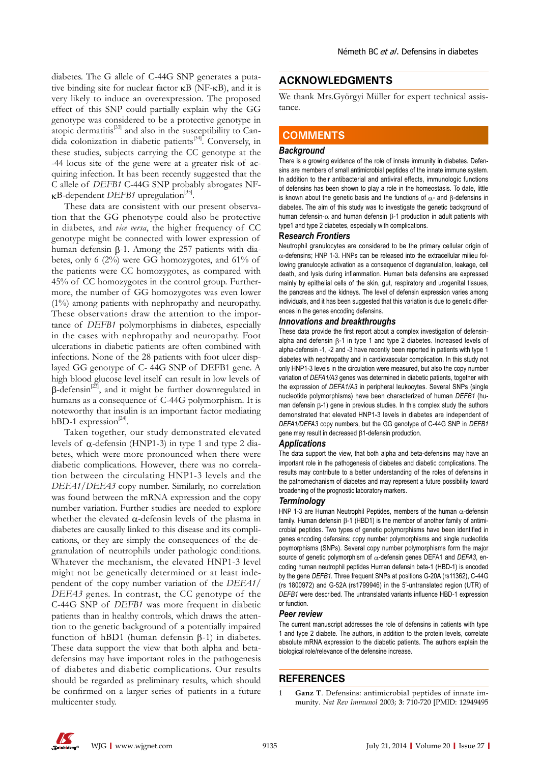diabetes. The G allele of C-44G SNP generates a putative binding site for nuclear factor κB (NF-κB), and it is very likely to induce an overexpression. The proposed effect of this SNP could partially explain why the GG genotype was considered to be a protective genotype in atopic dermatitis<sup>[33]</sup> and also in the susceptibility to Candida colonization in diabetic patients<sup>[34]</sup>. Conversely, in these studies, subjects carrying the CC genotype at the -44 locus site of the gene were at a greater risk of acquiring infection. It has been recently suggested that the C allele of *DEFB1* C-44G SNP probably abrogates NF- $\kappa$ B-dependent *DEFB1* upregulation<sup>[35]</sup>.

These data are consistent with our present observation that the GG phenotype could also be protective in diabetes, and *vice versa*, the higher frequency of CC genotype might be connected with lower expression of human defensin β-1. Among the 257 patients with diabetes, only 6 (2%) were GG homozygotes, and 61% of the patients were CC homozygotes, as compared with 45% of CC homozygotes in the control group. Furthermore, the number of GG homozygotes was even lower (1%) among patients with nephropathy and neuropathy. These observations draw the attention to the importance of *DEFB1* polymorphisms in diabetes, especially in the cases with nephropathy and neuropathy. Foot ulcerations in diabetic patients are often combined with infections. None of the 28 patients with foot ulcer displayed GG genotype of C- 44G SNP of DEFB1 gene. A high blood glucose level itself can result in low levels of  $β$ -defensin<sup>[23]</sup>, and it might be further downregulated in humans as a consequence of C-44G polymorphism. It is noteworthy that insulin is an important factor mediating hBD-1 expression<sup>[24]</sup>.

Taken together, our study demonstrated elevated levels of α-defensin (HNP1-3) in type 1 and type 2 diabetes, which were more pronounced when there were diabetic complications. However, there was no correlation between the circulating HNP1-3 levels and the *DEFA1/DEFA3* copy number. Similarly, no correlation was found between the mRNA expression and the copy number variation. Further studies are needed to explore whether the elevated  $\alpha$ -defensin levels of the plasma in diabetes are causally linked to this disease and its complications, or they are simply the consequences of the degranulation of neutrophils under pathologic conditions. Whatever the mechanism, the elevated HNP1-3 level might not be genetically determined or at least independent of the copy number variation of the *DEFA1/ DEFA3* genes. In contrast, the CC genotype of the C-44G SNP of *DEFB1* was more frequent in diabetic patients than in healthy controls, which draws the attention to the genetic background of a potentially impaired function of hBD1 (human defensin β-1) in diabetes. These data support the view that both alpha and betadefensins may have important roles in the pathogenesis of diabetes and diabetic complications. Our results should be regarded as preliminary results, which should be confirmed on a larger series of patients in a future multicenter study.

# **ACKNOWLEDGMENTS**

We thank Mrs.Györgyi Müller for expert technical assistance.

# **COMMENTS COMMENTS**

### *Background*

There is a growing evidence of the role of innate immunity in diabetes. Defensins are members of small antimicrobial peptides of the innate immune system. **I**n addition to their antibacterial and antiviral effects, immunologic functions of defensins has been shown to play a role in the homeostasis. To date, little is known about the genetic basis and the functions of  $α-$  and  $β$ -defensins in diabetes. The aim of this study was to investigate the genetic background of human defensin- $\alpha$  and human defensin β-1 production in adult patients with type1 and type 2 diabetes, especially with complications.

#### **R***esearch Frontiers*

Neutrophil granulocytes are considered to be the primary cellular origin of α-defensins; HNP 1-3. HNPs can be released into the extracellular milieu following granulocyte activation as a consequence of degranulation, leakage, cell death, and lysis during inflammation. Human beta defensins are expressed mainly by epithelial cells of the skin, gut, respiratory and urogenital tissues, the pancreas and the kidneys. The level of defensin expression varies among individuals, and it has been suggested that this variation is due to genetic differences in the genes encoding defensins.

#### *Innovations and breakthroughs*

These data provide the first report about a complex investigation of defensinalpha and defensin β-1 in type 1 and type 2 diabetes. Increased levels of alpha-defensin -1, -2 and -3 have recently been reported in patients with type 1 diabetes with nephropathy and in cardiovascular complication. In this study not only HNP1-3 levels in the circulation were measured, but also the copy number variation of *DEFA1/A3* genes was determined in diabetic patients, together with the expression of *DEFA1/A3* in peripheral leukocytes. Several SNPs (single nucleotide polymorphisms) have been characterized of human *DEFB1* (human defensin β-1) gene in previous studies. In this complex study the authors demonstrated that elevated HNP1-3 levels in diabetes are independent of *DEFA1/DEFA3* copy numbers, but the GG genotype of C-44G SNP in *DEFB1* gene may result in decreased β1-defensin production.

#### *Applications*

The data support the view, that both alpha and beta-defensins may have an important role in the pathogenesis of diabetes and diabetic complications. The results may contribute to a better understanding of the roles of defensins in the pathomechanism of diabetes and may represent a future possibility toward broadening of the prognostic laboratory markers.

#### *Terminology*

HNP 1-3 are Human Neutrophil Peptides, members of the human  $\alpha$ -defensin family. Human defensin β-1 (HBD1) is the member of another family of antimicrobial peptides. Two types of genetic polymorphisms have been identified in genes encoding defensins: copy number polymorphisms and single nucleotide poymorphisms (SNPs). Several copy number polymorphisms form the major source of genetic polymorphism of α-defensin genes DEFA1 and *DEFA3*, encoding human neutrophil peptides Human defensin beta-1 (HBD-1) is encoded by the gene *DEFB1.* Three frequent SNPs at positions G-20A (rs11362), C-44G (rs 1800972) and G-52A (rs1799946) in the 5'-untranslated region (UTR) of *DEFB1* were described. The untranslated variants influence HBD-1 expression or function.

#### *Peer review*

The current manuscript addresses the role of defensins in patients with type 1 and type 2 diabete. The authors, in addition to the protein levels, correlate absolute mRNA expression to the diabetic patients. The authors explain the biological role/relevance of the defensine increase.

## **REFERENCES**

1 **Ganz T**. Defensins: antimicrobial peptides of innate immunity. *Nat Rev Immunol* 2003; **3**: 710-720 [PMID: 12949495

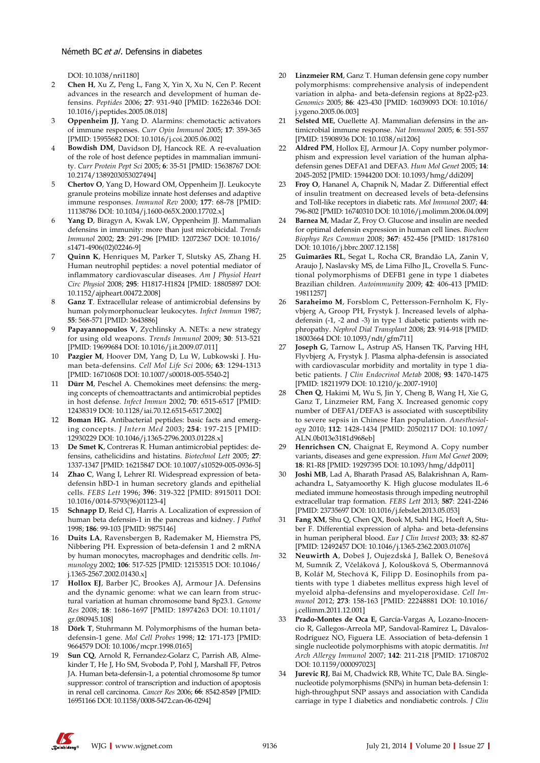### Németh BC et al. Defensins in diabetes

DOI: 10.1038/nri1180]

- 2 **Chen H**, Xu Z, Peng L, Fang X, Yin X, Xu N, Cen P. Recent advances in the research and development of human defensins. *Peptides* 2006; **27**: 931-940 [PMID: 16226346 DOI: 10.1016/j.peptides.2005.08.018]
- 3 **Oppenheim JJ**, Yang D. Alarmins: chemotactic activators of immune responses. *Curr Opin Immunol* 2005; **17**: 359-365 [PMID: 15955682 DOI: 10.1016/j.coi.2005.06.002]
- 4 **Bowdish DM**, Davidson DJ, Hancock RE. A re-evaluation of the role of host defence peptides in mammalian immunity. *Curr Protein Pept Sci* 2005; **6**: 35-51 [PMID: 15638767 DOI: 10.2174/1389203053027494]
- 5 **Chertov O**, Yang D, Howard OM, Oppenheim JJ. Leukocyte granule proteins mobilize innate host defenses and adaptive immune responses. *Immunol Rev* 2000; **177**: 68-78 [PMID: 11138786 DOI: 10.1034/j.1600-065X.2000.17702.x]
- Yang D, Biragyn A, Kwak LW, Oppenheim JJ. Mammalian defensins in immunity: more than just microbicidal. *Trends Immunol* 2002; **23**: 291-296 [PMID: 12072367 DOI: 10.1016/ s1471-4906(02)02246-9]
- 7 **Quinn K**, Henriques M, Parker T, Slutsky AS, Zhang H. Human neutrophil peptides: a novel potential mediator of inflammatory cardiovascular diseases. *Am J Physiol Heart Circ Physiol* 2008; **295**: H1817-H1824 [PMID: 18805897 DOI: 10.1152/ajpheart.00472.2008]
- 8 **Ganz T**. Extracellular release of antimicrobial defensins by human polymorphonuclear leukocytes. *Infect Immun* 1987; **55**: 568-571 [PMID: 3643886]
- Papayannopoulos V, Zychlinsky A. NETs: a new strategy for using old weapons. *Trends Immunol* 2009; **30**: 513-521 [PMID: 19699684 DOI: 10.1016/j.it.2009.07.011]
- 10 **Pazgier M**, Hoover DM, Yang D, Lu W, Lubkowski J. Human beta-defensins. *Cell Mol Life Sci* 2006; **63**: 1294-1313 [PMID: 16710608 DOI: 10.1007/s00018-005-5540-2]
- 11 **Dürr M**, Peschel A. Chemokines meet defensins: the merging concepts of chemoattractants and antimicrobial peptides in host defense. *Infect Immun* 2002; **70**: 6515-6517 [PMID: 12438319 DOI: 10.1128/iai.70.12.6515-6517.2002]
- 12 **Boman HG**. Antibacterial peptides: basic facts and emerging concepts. *J Intern Med* 2003; **254**: 197-215 [PMID: 12930229 DOI: 10.1046/j.1365-2796.2003.01228.x]
- 13 **De Smet K**, Contreras R. Human antimicrobial peptides: defensins, cathelicidins and histatins. *Biotechnol Lett* 2005; **27**: 1337-1347 [PMID: 16215847 DOI: 10.1007/s10529-005-0936-5]
- 14 **Zhao C**, Wang I, Lehrer RI. Widespread expression of betadefensin hBD-1 in human secretory glands and epithelial cells. *FEBS Lett* 1996; **396**: 319-322 [PMID: 8915011 DOI: 10.1016/0014-5793(96)01123-4]
- 15 **Schnapp D**, Reid CJ, Harris A. Localization of expression of human beta defensin-1 in the pancreas and kidney. *J Pathol* 1998; **186**: 99-103 [PMID: 9875146]
- 16 **Duits LA**, Ravensbergen B, Rademaker M, Hiemstra PS, Nibbering PH. Expression of beta-defensin 1 and 2 mRNA by human monocytes, macrophages and dendritic cells. *Immunology* 2002; **106**: 517-525 [PMID: 12153515 DOI: 10.1046/ j.1365-2567.2002.01430.x]
- 17 **Hollox EJ**, Barber JC, Brookes AJ, Armour JA. Defensins and the dynamic genome: what we can learn from structural variation at human chromosome band 8p23.1. *Genome Res* 2008; **18**: 1686-1697 [PMID: 18974263 DOI: 10.1101/ gr.080945.108]
- 18 **Dörk T**, Stuhrmann M. Polymorphisms of the human betadefensin-1 gene. *Mol Cell Probes* 1998; **12**: 171-173 [PMID: 9664579 DOI: 10.1006/mcpr.1998.0165]
- **Sun CQ**, Arnold R, Fernandez-Golarz C, Parrish AB, Almekinder T, He J, Ho SM, Svoboda P, Pohl J, Marshall FF, Petros JA. Human beta-defensin-1, a potential chromosome 8p tumor suppressor: control of transcription and induction of apoptosis in renal cell carcinoma. *Cancer Res* 2006; **66**: 8542-8549 [PMID: 16951166 DOI: 10.1158/0008-5472.can-06-0294]
- 20 **Linzmeier RM**, Ganz T. Human defensin gene copy number polymorphisms: comprehensive analysis of independent variation in alpha- and beta-defensin regions at 8p22-p23. *Genomics* 2005; **86**: 423-430 [PMID: 16039093 DOI: 10.1016/ j.ygeno.2005.06.003]
- 21 **Selsted ME**, Ouellette AJ. Mammalian defensins in the antimicrobial immune response. *Nat Immunol* 2005; **6**: 551-557 [PMID: 15908936 DOI: 10.1038/ni1206]
- 22 **Aldred PM**, Hollox EJ, Armour JA. Copy number polymorphism and expression level variation of the human alphadefensin genes DEFA1 and DEFA3. *Hum Mol Genet* 2005; **14**: 2045-2052 [PMID: 15944200 DOI: 10.1093/hmg/ddi209]
- 23 **Froy O**, Hananel A, Chapnik N, Madar Z. Differential effect of insulin treatment on decreased levels of beta-defensins and Toll-like receptors in diabetic rats. *Mol Immunol* 2007; **44**: 796-802 [PMID: 16740310 DOI: 10.1016/j.molimm.2006.04.009]
- Barnea M, Madar Z, Froy O. Glucose and insulin are needed for optimal defensin expression in human cell lines. *Biochem Biophys Res Commun* 2008; **367**: 452-456 [PMID: 18178160 DOI: 10.1016/j.bbrc.2007.12.158]
- 25 **Guimarães RL**, Segat L, Rocha CR, Brandão LA, Zanin V, Araujo J, Naslavsky MS, de Lima Filho JL, Crovella S. Functional polymorphisms of DEFB1 gene in type 1 diabetes Brazilian children. *Autoimmunity* 2009; **42**: 406-413 [PMID: 19811257]
- Saraheimo M, Forsblom C, Pettersson-Fernholm K, Flyvbjerg A, Groop PH, Frystyk J. Increased levels of alphadefensin (-1, -2 and -3) in type 1 diabetic patients with nephropathy. *Nephrol Dial Transplant* 2008; **23**: 914-918 [PMID: 18003664 DOI: 10.1093/ndt/gfm711]
- 27 **Joseph G**, Tarnow L, Astrup AS, Hansen TK, Parving HH, Flyvbjerg A, Frystyk J. Plasma alpha-defensin is associated with cardiovascular morbidity and mortality in type 1 diabetic patients. *J Clin Endocrinol Metab* 2008; **93**: 1470-1475 [PMID: 18211979 DOI: 10.1210/jc.2007-1910]
- 28 **Chen Q**, Hakimi M, Wu S, Jin Y, Cheng B, Wang H, Xie G, Ganz T, Linzmeier RM, Fang X. Increased genomic copy number of DEFA1/DEFA3 is associated with susceptibility to severe sepsis in Chinese Han population. *Anesthesiology* 2010; **112**: 1428-1434 [PMID: 20502117 DOI: 10.1097/ ALN.0b013e3181d968eb]
- 29 **Henrichsen CN**, Chaignat E, Reymond A. Copy number variants, diseases and gene expression. *Hum Mol Genet* 2009; **18**: R1-R8 [PMID: 19297395 DOI: 10.1093/hmg/ddp011]
- Joshi MB, Lad A, Bharath Prasad AS, Balakrishnan A, Ramachandra L, Satyamoorthy K. High glucose modulates IL-6 mediated immune homeostasis through impeding neutrophil extracellular trap formation. *FEBS Lett* 2013; **587**: 2241-2246 [PMID: 23735697 DOI: 10.1016/j.febslet.2013.05.053]
- 31 **Fang XM**, Shu Q, Chen QX, Book M, Sahl HG, Hoeft A, Stuber F. Differential expression of alpha- and beta-defensins in human peripheral blood. *Eur J Clin Invest* 2003; **33**: 82-87 [PMID: 12492457 DOI: 10.1046/j.1365-2362.2003.01076]
- 32 **Neuwirth A**, Dobeš J, Oujezdská J, Ballek O, Benešová M, Sumník Z, Včeláková J, Koloušková S, Obermannová B, Kolář M, Stechová K, Filipp D. Eosinophils from patients with type 1 diabetes mellitus express high level of myeloid alpha-defensins and myeloperoxidase. *Cell Immunol* 2012; **273**: 158-163 [PMID: 22248881 DOI: 10.1016/ j.cellimm.2011.12.001]
- 33 **Prado-Montes de Oca E**, García-Vargas A, Lozano-Inocencio R, Gallegos-Arreola MP, Sandoval-Ramírez L, Dávalos-Rodríguez NO, Figuera LE. Association of beta-defensin 1 single nucleotide polymorphisms with atopic dermatitis. *Int Arch Allergy Immunol* 2007; **142**: 211-218 [PMID: 17108702 DOI: 10.1159/000097023]
- Jurevic RJ, Bai M, Chadwick RB, White TC, Dale BA. Singlenucleotide polymorphisms (SNPs) in human beta-defensin 1: high-throughput SNP assays and association with Candida carriage in type I diabetics and nondiabetic controls. *J Clin*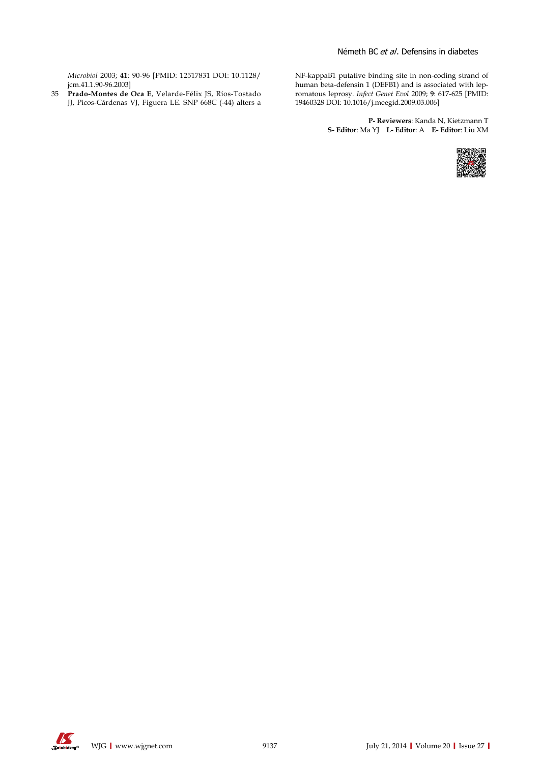*Microbiol* 2003; **41**: 90-96 [PMID: 12517831 DOI: 10.1128/ jcm.41.1.90-96.2003]

35 **Prado-Montes de Oca E**, Velarde-Félix JS, Ríos-Tostado JJ, Picos-Cárdenas VJ, Figuera LE. SNP 668C (-44) alters a

NF-kappaB1 putative binding site in non-coding strand of human beta-defensin 1 (DEFB1) and is associated with lepromatous leprosy. *Infect Genet Evol* 2009; **9**: 617-625 [PMID: 19460328 DOI: 10.1016/j.meegid.2009.03.006]

> **P- Reviewers**: Kanda N, Kietzmann T **S- Editor**: Ma YJ **L- Editor**: A **E- Editor**: Liu XM